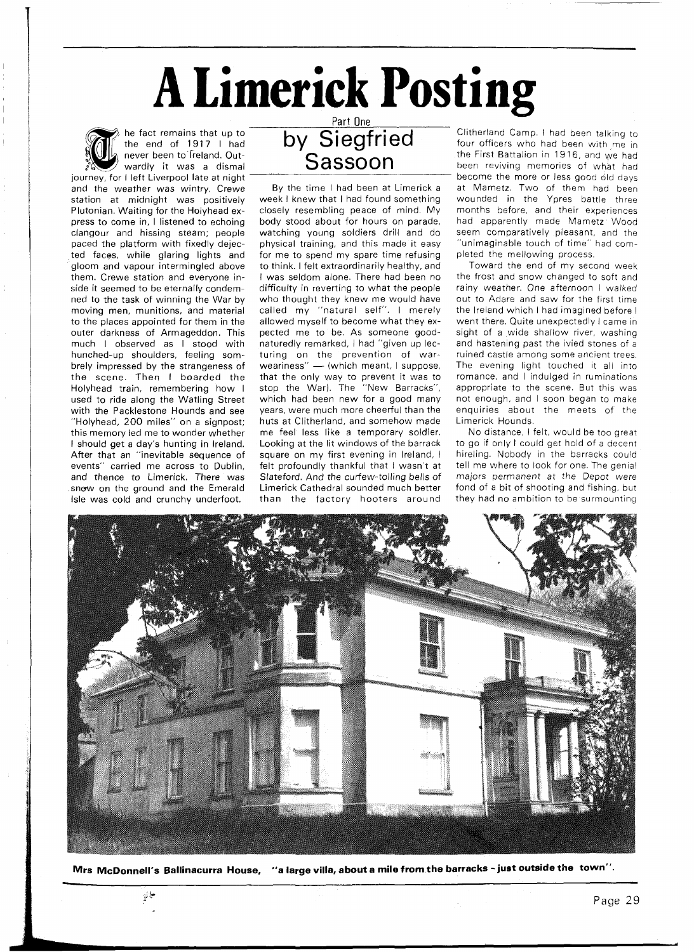## **A Limerick Posting** -



the end of 1917 I had

and the weather was wintry. Crewe station at midnight was positively Plutonian. Waiting for the Holyhead express to come in, I listened to echoing clangour and hissing steam; people paced the platform with fixedly dejected faces, while glaring lights and gloom and vapour intermingled above them. Crewe station and everyone inside it seemed to be eternally condemned to the task of winning the War by moving men, munitions, and material to the places appointed for them in the outer darkness of Armageddon. This much I observed as I stood with hunched-up shoulders, feeling sombrely impressed by the strangeness of the scene. Then I boarded the Holyhead train, remembering how I used to ride along the Watling Street with the Packlestone Hounds and see "Holyhead, 200 miles" on a signpost; this memory led me to wonder whether I should get a day's hunting in Ireland. After that an "inevitable sequence of events" carried me across to Dublin, and thence to Limerick. There was snow on the ground and the Emerald Isle was cold and crunchy underfoot.

## **Part One**<br>by Siegfried

By the time I had been at Limerick a week I knew that I had found something closely resembling peace of mind. My body stood about for hours on parade, watching young soldiers drill and do physical training, and this made it easy for me to spend my spare time refusing to think. I felt extraordinarily healthy, and I was seldom alone. There had been no difficulty in reverting to what the people who thought they knew me would have called my "natural self". I merely allowed myself to become what they expected me to be. As someone goodnaturedly remarked, I had "given up lecturing on the prevention of war-<br>weariness" — (which meant, I suppose,<br>weariness" — (which meant, I suppose, turing on the prevention of war-<br>weariness" — (which meant, I suppose, that the only way to prevent it was to stop the War). The "New Barracks", which had been new for a good many years, were much more cheerful than the huts at Clitherland, and somehow made me feel less like a temporary soldier. Looking at the lit windows of the barrack square on my first evening in Ireland, I felt profoundly thankful that I wasn't at Slateford. And the curfew-tolling bells of Limerick Cathedral sounded much better than the factory hooters around

he fact remains that up to **CLANTIAN** Clitherland Camp. I had been talking to four officers who had been with me in never been to Treland. Out-<br>
never been to Treland. Out-<br> **Sassoon** the First Battalion in 1916, and we had<br>
been reviving memories of what had<br>
become the more or less good old days been reviving memories of what had become the more or less good old days at Mametz. Two of them had been wounded in the Ypres battle three months before, and their experiences had apparently made Mametz Wood seem comparatively pleasant, and the 'unimaginable touch of time" had completed the mellowing process.

Toward the end of my second week the frost and snow changed to soft and rainy weather. One afternoon I walked out to Adare and saw for the first time the Ireland which I had imagined before I went there. Quite unexpectedly I came in sight of a wide shallow river, washing and hastening past the ivied stones of a ruined castle among some ancient trees. The evening light touched it all into romance, and I indulged in ruminations appropriate to the scene. But this was not enough, and I soon began to make enquiries about the meets of the Limerick Hounds.

No distance, I felt, would be too great to go if only I could get hold of a decent hireling. Nobody in the barracks could tell me where to look for one. The genial majors permanent at the Depot were fond of a bit of shooting and fishing, but they had no ambition to be surmounting



Mrs McDonnell's Ballinacurra House, "a large villa, about a mile from the barracks - just outside the town".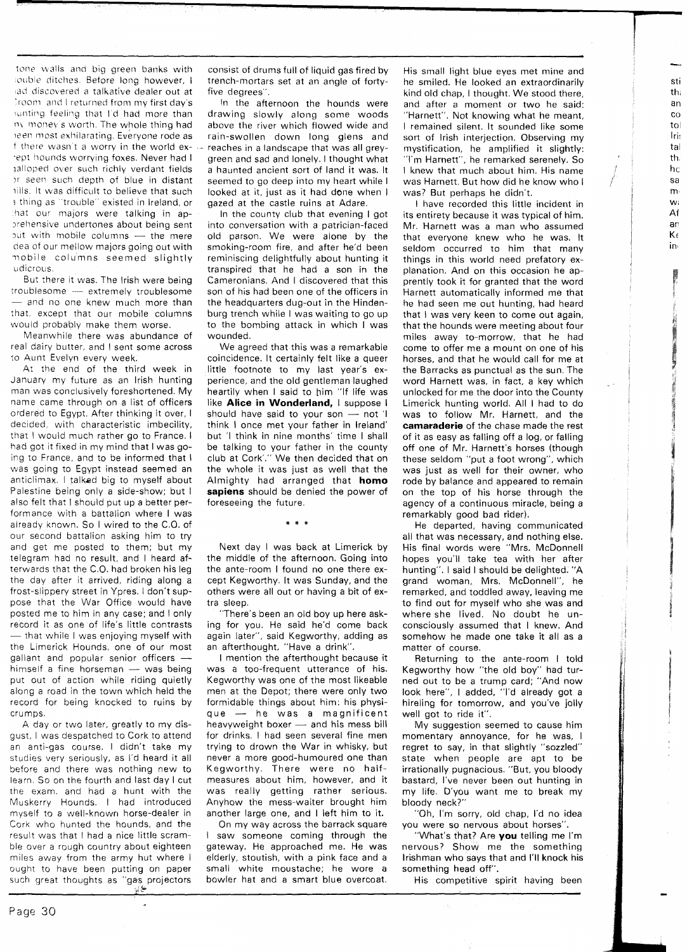tone walls and big green banks with ouble ditches. Before long however, I ,id discovered a talkative dealer out at Iroom and I returned from my first day's junting feeling that I'd had more than n\ iiioney S worth. The whole thing had wen most exhilarating. Everyone rode as f there wasn t a worry in the world ex rept hounds worrying foxes. Never had I alloped over such richly verdant fields >r seen such depth of blue in distant iills. It was difficult to believe that such a thing as "trouble" existed in Ireland, or that our majors were talking in apprehensive undertones about being sent<br>but with mobile columns - the mere<br>don of our mollow majors calus at with prehensive undertones about being sent dea of our mellow majors going out with -nobile colu'mns seemed slightly udicrous.

But there it was. The lrish were being troublesome - extremely troublesome But there it was. The Irish were being<br>troublesome — extremely troublesome<br>— and no one knew much more than that, except that our mobile columns would probably make them worse.

Meanwhile there was abundance of real dairy butter, and I sent some across to Aunt Evelyn every week.

At the end of the third week in January my future as an lrish hunting man was conclusively foreshortened. My name came through on a list of officers ordered to Egypt. After thinking it over, I decided, with characteristic imbecility, that I would much rather go to France. I had got it fixed in my mind that I was going to France, and to be informed that I was going to Egypt instead seemed an anticlimax. I talked big to myself about Palestine being only a side-show; but I also felt that I should put up a better performance with a battalion where I was already known. So I wired to the C.0, of our second battalion asking him to try and get me posted to them; but my telegram had no result, and I heard afterwards that the C.O. had broken his leg the day after it arrived, riding along e frost-slippery street in Ypres. I don't suppose that the War Office would have posted me to him in any case; and I only record it as one of life's little contrasts posted me to him in any case; and I only<br>record it as one of life's little contrasts<br>— that while I was enjoying myself with<br>the Limerick Hounds and of our most the Limerick Hounds, one of our most that while I was enjoying myself with<br>the Limerick Hounds, one of our most<br>gallant and popular senior officers —<br>himself a fine horseman — was being put out of action while riding quietly along a road in the town which held the record for being knocked to ruins by crumps.

A day or two later, greatly to my disgust, I was despatched to Cork to attend an anti-gas course. I didn't take my studies very seriously, as I'd heard it all before and there was nothing new to learn. So on the fourth and last day I cut the exam. and had a hunt with the Muskerry Hounds. I had introduced myself to a well-known horse-dealer in Cork who hunted the hounds, and the result was that I had a nice little scramble over a rough country about eighteen miles away from the army hut where I ought to have been putting on paper such great thoughts as "gas projectors consist of drums full of liquid gas fired by trench-mortars set at an angle of fortyfive degrees".

In the afternoon the hounds were drawing slowly along some woods above the river which flowed wide and rain-swollen down long glens and reaches in a landscape that was all greygreen and sad and lonely. I thought what a haunted ancient sort of land it was. It seemed to go deep into my heart while I looked at it, just as it had done when l gazed at the castle ruins at Adare.

In the county club that evening I got into conversation with a patrician-faced old parson. We were alone by the smoking-room fire, and after he'd been reminiscing delightfully about hunting it transpired that he had a son in the Cameronians. And I discovered that this son of his had been one of the officers in the headquarters dug-out in the Hindenburg trench while I was waiting to go up to the bombing attack in which I was wounded.

We agreed that this was a remarkable coincidence. It certainly felt like a queer little footnote to my last year's experience, and the old gentleman laughed heartily when I said to him "If life was<br>like **Alice in Wonderland, I** suppose I<br>should have said to your son -- not 'l<br>think I once met your father in Ireland' like **Alice in Wonderland,** I suppose I should have said to your son - not 'I think I once met your father in Ireland' but 'I think in nine months' time I shall be talking to your father in the county club at Cork'." We then decided that on the whole it was just as well that the Almighty had arranged that **homo sapiens** should be denied the power of foreseeing the future.

Next day I was back at Limerick by the middle of the afternoon. Going into the ante-room I found no one there except Kegworthy. It was Sunday, and the others were all out or having a bit of extra sleep.

 $\cdots$ 

"There's been an old boy up here asking for you. He said he'd come back again later", said Kegworthy, adding as an afterthought, "Have a drink".

I mention the afterthought because it was a too-frequent utterance of his. Kegworthy was one of the most likeable men at the Depot; there were only two<br>formidable things about him; his physique - he was a magnificent<br>heogenevelent hours and his moss hill formidable things about him: his physique - he was a magnificent<br>heavyweight boxer - and his mess bill for drinks. I had seen several fine men trying to drown the War in whisky, but never a more good-humoured one than Kegworthy. There were no halfmeasures about him, however, and it was really getting rather serious. Anyhow the mess-waiter brought him another large one, and I left him to it.

On my way across the barrack square I saw someone coming through the gateway. He approached me. He was elderly, stoutish, with a pink face and a small white moustache; he wore a bowler hat and a smart blue overcoat.

His small light blue eyes met mine and he smiled. He looked an extraordinarily kind old chap, I thought. We stood there, and after a moment or two he said: "Harnett". Not knowing what he meant, I remained silent. It sounded like some sort of Irish interjection. Observing my mystification, he amplified it slightly: "I'm Harnett", he remarked serenely. So I knew that much about him. His name was Harnett. But how did he know who I was? But perhaps he didn't.

-

sti th, an CO tol **Iris** tal th. hc sa m  $W_i$ Af an K **<sup>c</sup>** in

**I** 

I **B** l

-

I have recorded this little incident in its entirety because it was typical of him. Mr. Harnett was a man who assumed that everyone knew who he was. It seldom occurred to him that many things in this world need prefatory explanation. And on this occasion he apprently took it for granted that the word Harnett automatically informed me that he had seen me out hunting, had heard that I was very keen to come out again, that the hounds were meeting about four miles away to-morrow, that he had come to offer me a mount on one of his horses, and that he would call for me at the Barracks as punctual as the sun. The word Harnett was, in fact, a key which unlocked for me the door into the County Limerick hunting world. All I had to do was to follow Mr. Harnett, and the **camaraderie** of the chase made the rest of it as easy as falling off a log, or falling off one of Mr. Harnett's horses (though these seldom "put a foot wrong", which was just as well for their owner, who rode by balance and appeared to remain on the top of his horse through the agency of a continuous miracle, being a remarkably good bad rider).

He departed, having communicated all that was necessary, and nothing else. His final words were "Mrs. McDonnell hopes you'll take tea with her after hunting". I said I should be delighted. "A grand woman, Mrs. McDonnell", he remarked, and toddled away, leaving me to find out for myself who she was and where she lived. No doubt he unconsciously assumed that I knew. And somehow he made one take it all as a matter of course.

Returning to the ante-room I told Kegworthy how "the old boy" had turned out to be a trump card; "And now look here", I added, "I'd already got a hireling for tomorrow, and you've jolly well got to ride it".

My suggestion seemed to cause him momentary annoyance, for he was, I regret to say, in that slightly "sozzled" state when people are apt to be irrationally pugnacious. "But, you bloody bastard, I've never been out hunting in my life. D'you want me to break my bloody neck?"

"Oh, I'm sorry, old chap, I'd no idea you were so nervous about horses".

"What's that? Are **you** telling me I'm nervous7 Show me the something Irishman who says that and I'll knock his something head off".

His competitive spirit having been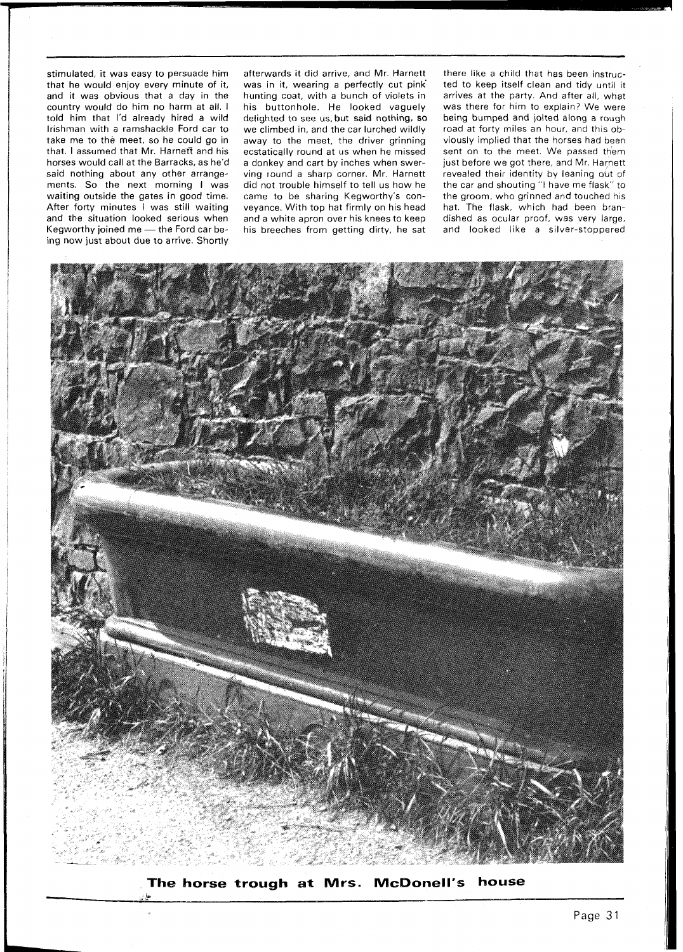stimulated, it was easy to persuade him that he would enjoy every minute of it, and it was obvious that a day in the country would do him no harm at all. I told him that I'd already hired a wild Irishman with a ramshackle Ford car to take me to the meet, so he could go in that. I assumed that Mr. Harnett and his horses would call at the Barracks, as he'd said nothing about any other arrangements. So the next morning I was waiting outside the gates in good time. After forty minutes I was still waiting and the situation looked serious when Kegworthy joined me  $-$  the Ford car being now just about due to arrive. Shortly

afterwards it did arrive, and Mr. Harnett was in it, wearing a perfectly cut pink' hunting coat, with a bunch of violets in his buttonhole. He looked vaguely delighted to see us, but said nothing, so we climbed in, and the car lurched wildly away to the meet, the driver grinning ecstatically round at us when he missed a donkey and cart by inches when swerving round a sharp corner. Mr. Harnett did not trouble himself to tell us how he came to be sharing Kegworthy's conveyance. With top hat firmly on his head and a white apron over his knees to keep his breeches from getting dirty, he sat

there like a child that has been instructed to keep itself clean and tidy until it arrives at the party And after all, what was there for him to explain? We were being bumped and jolted along a rough road at forty miles an hour, and this obviously implied that the horses had been sent on to the meet. We passed them just before we got there, and Mr. Harnett revealed their identity by leaning out of the car and shouting "I have me flask" to the groom, who grinned and touched his hat. The flask, which had been brandished as ocular proof, was very large, and looked like a silver-stoppered



**The horse trough at Mrs. MeBonell's house** (\*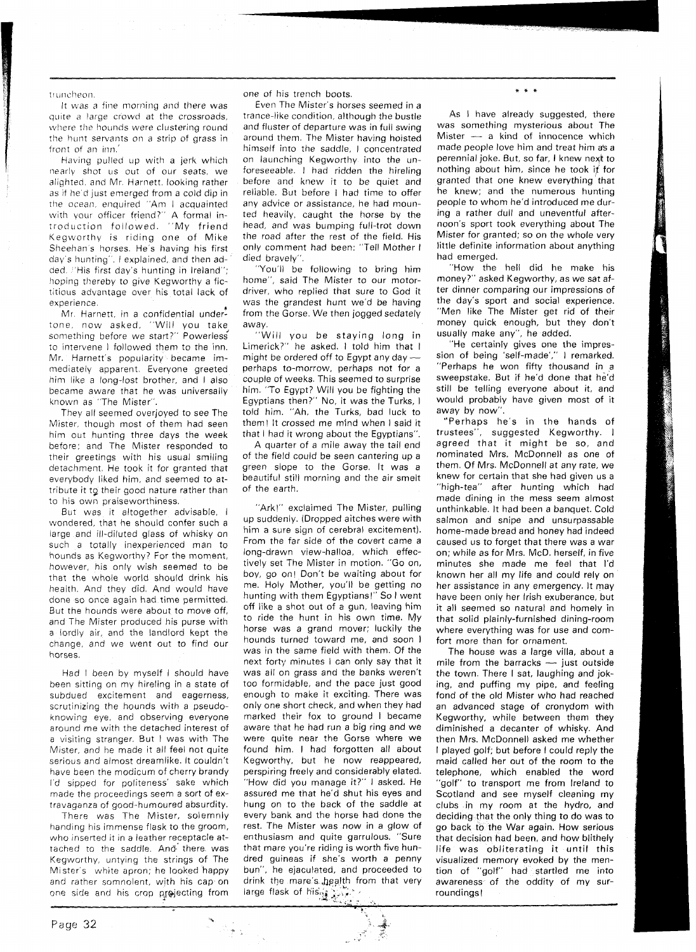## truncheon.

It was a fine morning and there was quite a large crowd at the crossroads, where the bounds were clustering round the hunt servants on a strip of grass in front of an inn.'

Having pulled up with a jerk which 1 nearly shot us out of our seats, we alighted. and Mr. Harnett, looking rather as if he'd just emerged from a cold dip in the ocean, enquired "Am I acquainted with your officer friend?" A formal introductiori followed. "My friend Kegworthy is riding one of Mike Sheehan's horses. He's having his first day's hunting". I explained, and then added. "His first day's hunting in Ireland"; hoping thereby to give Kegworthy a fictitious advantage over his total lack of experience.

Mr. Harnett, in a confidential undertone, now asked, "Will you take, something before we start?" Powerless to intervene I followed them to the inn. Mr. Harnett's popularity became immediately apparent. Everyone greeted him like a long-lost brother, and I also became aware that he was universally known as "The Mister".

They all seemed overjoyed to see The Mister, though most of them had seen him out hunting three days the week before: and The Mister responded to their greetings with his usual smiling detachment. He took it for granted that everybody liked him, and seemed to attribute it to their good nature rather than to his own praiseworthiness.

But was it altogether advisable, I wondered, that he should confer such a large and ill-diluted glass of whisky on such a totally inexperienced man to hounds as Kegworthy? For the moment, however, his only wish seemed to be that the whole world should drink his health. And they did. And would have done so once again had time permitted. But the hounds were about to move off, and The Mister produced his purse with a lordly air and the landlord kept the change, and we went out to find our horses

Had I been by myself I should have been sitting on my hireling in a state of subdued excitement and eagerness, scrutinizing the hounds with a pseudoknowing eye, and observing everyone around me with the detached interest of a visiting stranger. But I was with The Mister, and he made it all feel not quite serious and almost dreamlike. It couldn't have been the modicum of cherry brandy I'd sipped for politeness' sake which made the proceedings seem a sort of extravaganza of good-humoured absurdity

There was The Mister, solemnly handing his immense flask to the groom, who inserted it in a leather receptacle attached to the saddle. And there was Kegworthy, untying the strings of The Mister's white apron; he looked happy and rather somnolent, with his cap on one side and his crop projecting from

one of his trench boots.

Even The Mister's horses seemed in a trance-like condition, although the bustle and fluster of departure was in full swing around them. The Mister having hoisted himself into the saddle, I concentrated on launching Kegworthy into the unforeseeable. I had ridden the hireling before and knew it to be quiet and reliable. But before I had time to offer any advice or assistance, he had mounted heavily, caught the horse by the head, and was bumping full-trot down the road after the rest of the field. His only comment had been: "Tell Mother I died bravely".

"You'll be following to bring him home", said The Mister to our motordriver, who replied that sure to God it was the grandest hunt we'd be having from the Gorse. We then jogged sedately away.

"Will you be staying long in<br>
Limerick?" he asked. I told him that I<br>
might be ordered off to Egypt any day —<br>
nothang to morrow principle not for a Limerick?" he asked. I told him that I perhaps to-morrow, perhaps not for a couple of weeks. This seemed to surprise him. "To Egypt? Will you be fighting the Egyptians then?" No, it was the Turks, I told him. "Ah, the Turks, bad luck to them! It crossed me mind when I said it that I had it wrong about the Egyptians".

A quarter of a mile away the tail end of the field could be seen cantering up a green slope to the Gorse. It was a beautiful still morning and the air smelt of the earth.

"Ark!" exclaimed The Mister, pulling up suddenly. (Dropped aitches were with him a sure sign of cerebral excitement). From the far side of the covert came a long-drawn view-halloa, which effectively set The Mister in motion. "Go on, boy, go on! Don't be waiting about for me. Holy Mother, you'll be getting no hunting with them Egyptians!'' So I went off like a shot out of a gun, leaving him to ride the hunt in his own time. My horse was a grand mover; luckily the hounds turned toward me, and soon I was in the same field with them. Of the next forty minutes I can only say that it was all on grass and the banks weren't too formidable, and the pace just good enough to make it exciting. There was only one short check, and when they had marked their fox to ground I became aware that he had run a big ring and we were quite near the Gorse where we found him. I had forgotten all about Kegworthy, but he now reappeared, perspiring freely and considerably elated. "How did you manage it?" I asked. He assured me that he'd shut his eyes and hung on to the back of the saddle at every bank and the horse had done the rest. The Mister was now in a glow of enthusiasm and quite garrulous. "Sure that mare you're riding is worth five hundred guineas if she's worth a penny bun", he ejaculated, and proceeded to drink the mare's health from that very large flask of his $\mathcal{L}$ .

**b** 

As I have already suggested, there was something mysterious about The  $Mister - a$  kind of innocence which made people love him and treat him a's a perennial joke. But, so far, I knew next to nothing about him, since he took if for granted that one knew everything'that he knew; and the numerous hunting people to whom he'd introduced me during a rather dull and uneventful afternoon's sport took everything about The Mister for granted; so on the whole very little definite information about anything had emerged.

"How the hell did he make his money?" asked Kegworthy, as we sat after dinner comparing our impressions of the day's sport and social experience. "Men like The Mister get rid of their money quick enough, but they don't usually make any", he added.

"He certainly gives one the impression of being 'self-made'," I remarked. "Perhaps he won fifty thousand in a sweepstake. But if he'd done that he'd still be telling everyone about it, and would probably have given most of it away by now".

"Perhaps he's in the hands of trustees", suggested Kegworthy. I agreed that it might be so, and nominated Mrs. McDonnell as one of them. Of Mrs. McDonnell at any rate, we knew for certain that she had given us a "high-tea" after hunting which had made dining in the mess seem almost unthinkable. It had been a banquet. Cold salmon and snipe and unsurpassable home-made bread and honey had indeed caused us to forget that there was a war on; while as for Mrs. McD. herself, in five minutes she made me feel that I'd known her all my life and could rely on her assistance in any emergency. It may have been only her Irish exuberance, but it all seemed so natural and homely in that solid plainly-furnished dining-room where everything was for use and comfort more than for ornament.

The house was a large villa, about a mile from the barracks  $-$  just outside the town. There I sat, laughing and joking, and puffing my pipe, and feeling fond of the old Mister who had reached an advanced stage of cronydom with Kegworthy, while between them they diminished a decanter of whisky. And then Mrs. McDonnell asked me whether I played golf; but before I could reply the maid called her out of the room to the telephone, which enabled the word "golf" to transport me from Ireland to Scotland and see myself cleaning my clubs in my room at the hydro, and deciding that the only thing to do was to go back to the War again. How serious that decision had been, and how blithely life was obliterating it until this visualized memory evoked by the mention of "golf" had startled me into awareness of the oddity of my surroundings l